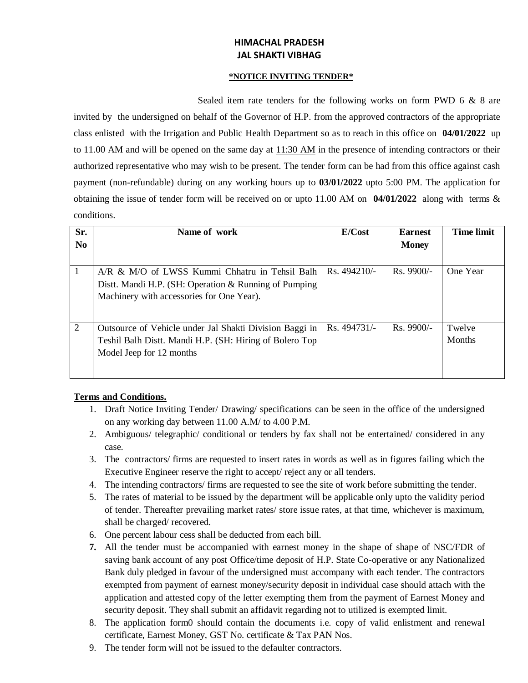# **HIMACHAL PRADESH JAL SHAKTI VIBHAG**

#### **\*NOTICE INVITING TENDER\***

Sealed item rate tenders for the following works on form PWD 6 & 8 are invited by the undersigned on behalf of the Governor of H.P. from the approved contractors of the appropriate class enlisted with the Irrigation and Public Health Department so as to reach in this office on **04/01/2022** up to 11.00 AM and will be opened on the same day at 11:30 AM in the presence of intending contractors or their authorized representative who may wish to be present. The tender form can be had from this office against cash payment (non-refundable) during on any working hours up to **03/01/2022** upto 5:00 PM. The application for obtaining the issue of tender form will be received on or upto 11.00 AM on **04/01/2022** along with terms & conditions.

| Sr.<br>N <sub>0</sub> | Name of work                                                                                                                                         | E/Cost       | <b>Earnest</b><br><b>Money</b> | <b>Time limit</b>       |
|-----------------------|------------------------------------------------------------------------------------------------------------------------------------------------------|--------------|--------------------------------|-------------------------|
|                       | A/R & M/O of LWSS Kummi Chhatru in Tehsil Balh<br>Distt. Mandi H.P. (SH: Operation & Running of Pumping<br>Machinery with accessories for One Year). | Rs. 494210/- | $Rs.9900/-$                    | One Year                |
| 2                     | Outsource of Vehicle under Jal Shakti Division Baggi in<br>Teshil Balh Distt. Mandi H.P. (SH: Hiring of Bolero Top<br>Model Jeep for 12 months       | Rs. 494731/- | $Rs.9900/-$                    | Twelve<br><b>Months</b> |

### **Terms and Conditions.**

- 1. Draft Notice Inviting Tender/ Drawing/ specifications can be seen in the office of the undersigned on any working day between 11.00 A.M/ to 4.00 P.M.
- 2. Ambiguous/ telegraphic/ conditional or tenders by fax shall not be entertained/ considered in any case.
- 3. The contractors/ firms are requested to insert rates in words as well as in figures failing which the Executive Engineer reserve the right to accept/ reject any or all tenders.
- 4. The intending contractors/ firms are requested to see the site of work before submitting the tender.
- 5. The rates of material to be issued by the department will be applicable only upto the validity period of tender. Thereafter prevailing market rates/ store issue rates, at that time, whichever is maximum, shall be charged/ recovered.
- 6. One percent labour cess shall be deducted from each bill.
- **7.** All the tender must be accompanied with earnest money in the shape of shape of NSC/FDR of saving bank account of any post Office/time deposit of H.P. State Co-operative or any Nationalized Bank duly pledged in favour of the undersigned must accompany with each tender. The contractors exempted from payment of earnest money/security deposit in individual case should attach with the application and attested copy of the letter exempting them from the payment of Earnest Money and security deposit. They shall submit an affidavit regarding not to utilized is exempted limit.
- 8. The application form0 should contain the documents i.e. copy of valid enlistment and renewal certificate, Earnest Money, GST No. certificate & Tax PAN Nos.
- 9. The tender form will not be issued to the defaulter contractors.